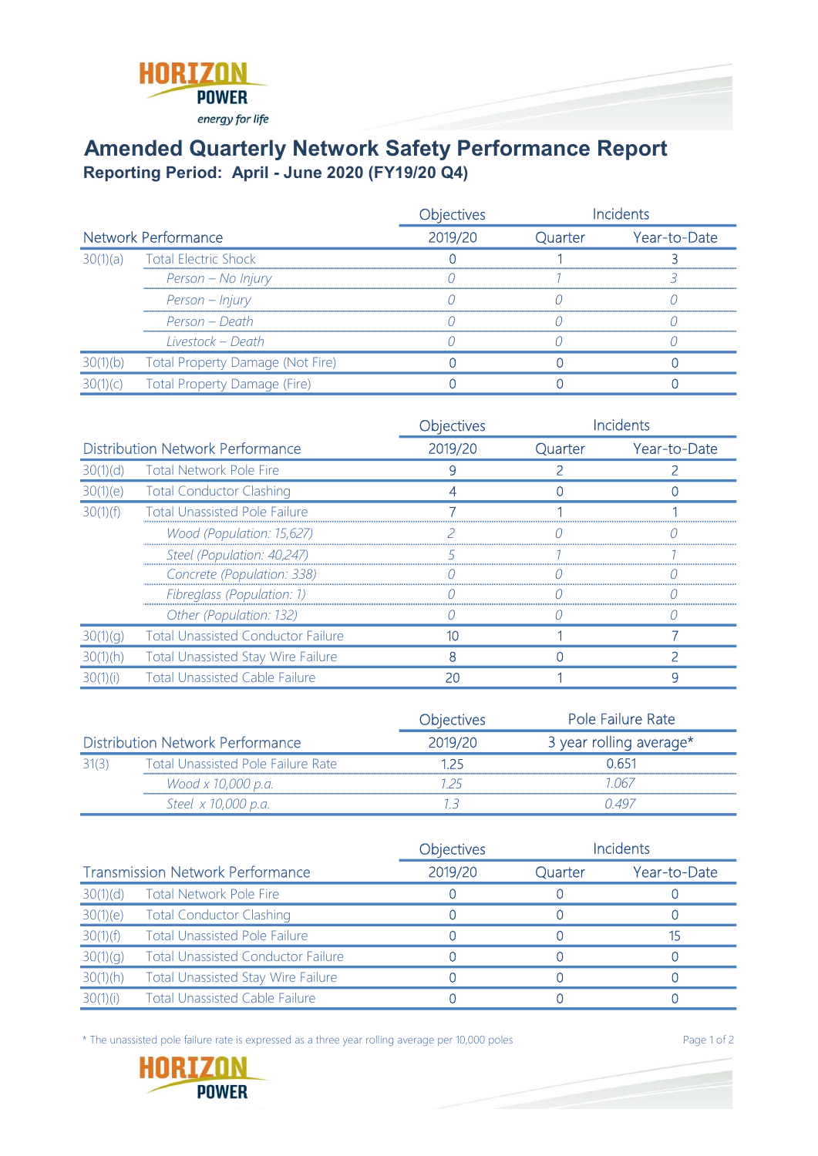

## Amended Quarterly Network Safety Performance Report Reporting Period: April - June 2020 (FY19/20 Q4)

|                            |                                  | Objectives |         | ncidents     |
|----------------------------|----------------------------------|------------|---------|--------------|
| <b>Network Performance</b> |                                  | 2019/20    | Quarter | Year-to-Date |
| 30(1)(a)                   | <b>Total Electric Shock</b>      |            |         |              |
|                            | Person - No Injury               |            |         |              |
|                            | Person – Injury                  |            |         |              |
|                            | Person – Death                   |            |         |              |
|                            | Livestock – Death                |            |         |              |
| 30(1)(b)                   | Total Property Damage (Not Fire) |            |         |              |
|                            | Total Property Damage (Fire)     |            |         |              |

|                                         |                                           | Objectives |         | Incidents    |
|-----------------------------------------|-------------------------------------------|------------|---------|--------------|
| <b>Distribution Network Performance</b> |                                           | 2019/20    | Quarter | Year-to-Date |
| 30(1)(d)                                | <b>Total Network Pole Fire</b>            |            |         |              |
|                                         | 30(1)(e) Total Conductor Clashing         |            |         |              |
| 30(1)(f)                                | <b>Total Unassisted Pole Failure</b>      |            |         |              |
|                                         | Wood (Population: 15,627)                 |            |         |              |
|                                         | Steel (Population: 40,247)                |            |         |              |
|                                         | Concrete (Population: 338)                |            |         |              |
|                                         | Fibreglass (Population: 1)                |            |         |              |
|                                         | Other (Population: 132)                   |            |         |              |
| 30(1)(q)                                | <b>Total Unassisted Conductor Failure</b> |            |         |              |
| 30(1)(h)                                | <b>Total Unassisted Stay Wire Failure</b> | 8          |         |              |
| 30(1)(i)                                | <b>Total Unassisted Cable Failure</b>     | 20         |         | q            |

|                                         |                                           | <b>Objectives</b> | <b>Pole Failure Rate</b> |
|-----------------------------------------|-------------------------------------------|-------------------|--------------------------|
| <b>Distribution Network Performance</b> |                                           | 2019/20           | 3 year rolling average*  |
| 31(3)                                   | <b>Total Unassisted Pole Failure Rate</b> | 1 25              | በ 651                    |
|                                         | Wood x 10,000 p.a.                        |                   | 1 067                    |
|                                         | Steel x 10,000 p.a.                       |                   | 0.497                    |

|                                         |                                           | Objectives |         | <b>Incidents</b> |
|-----------------------------------------|-------------------------------------------|------------|---------|------------------|
| <b>Transmission Network Performance</b> |                                           | 2019/20    | Quarter | Year-to-Date     |
| 30(1)(d)                                | <b>Total Network Pole Fire</b>            |            |         |                  |
| 30(1)(e)                                | <b>Total Conductor Clashing</b>           |            |         |                  |
| 30(1)(f)                                | <b>Total Unassisted Pole Failure</b>      |            |         |                  |
| 30(1)(g)                                | <b>Total Unassisted Conductor Failure</b> |            |         |                  |
| 30(1)(h)                                | <b>Total Unassisted Stay Wire Failure</b> |            |         |                  |
| 30(1)(i)                                | <b>Total Unassisted Cable Failure</b>     |            |         |                  |

\* The unassisted pole failure rate is expressed as a three year rolling average per 10,000 poles Page 1 of 2